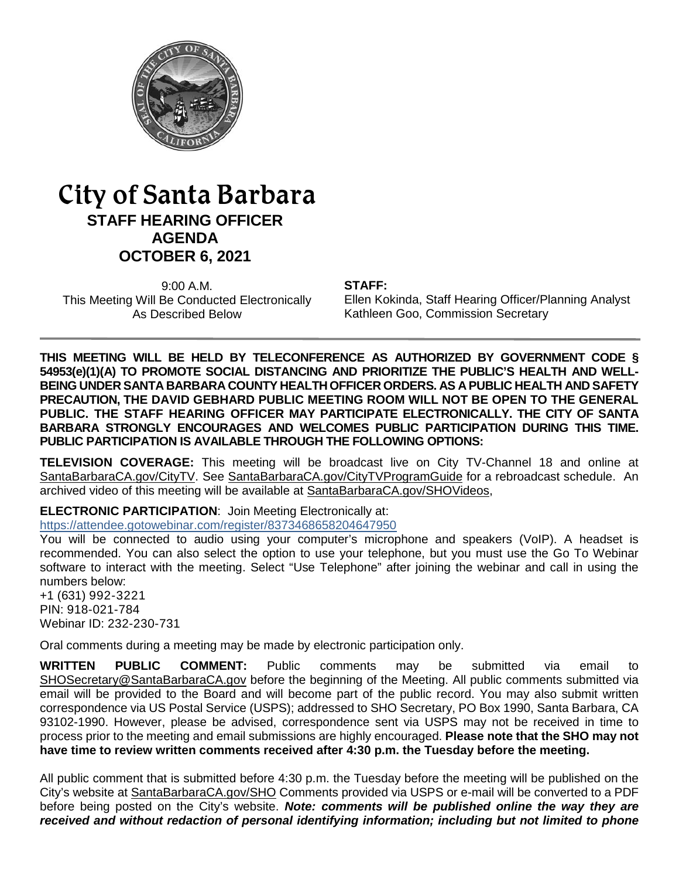

# City of Santa Barbara **STAFF HEARING OFFICER AGENDA OCTOBER 6, 2021**

9:00 A.M. This Meeting Will Be Conducted Electronically As Described Below

**STAFF:**

Ellen Kokinda, Staff Hearing Officer/Planning Analyst Kathleen Goo, Commission Secretary

**THIS MEETING WILL BE HELD BY TELECONFERENCE AS AUTHORIZED BY GOVERNMENT CODE § 54953(e)(1)(A) TO PROMOTE SOCIAL DISTANCING AND PRIORITIZE THE PUBLIC'S HEALTH AND WELL-BEING UNDER SANTA BARBARA COUNTY HEALTH OFFICER ORDERS. AS A PUBLIC HEALTH AND SAFETY PRECAUTION, THE DAVID GEBHARD PUBLIC MEETING ROOM WILL NOT BE OPEN TO THE GENERAL PUBLIC. THE STAFF HEARING OFFICER MAY PARTICIPATE ELECTRONICALLY. THE CITY OF SANTA BARBARA STRONGLY ENCOURAGES AND WELCOMES PUBLIC PARTICIPATION DURING THIS TIME. PUBLIC PARTICIPATION IS AVAILABLE THROUGH THE FOLLOWING OPTIONS:**

**TELEVISION COVERAGE:** This meeting will be broadcast live on City TV-Channel 18 and online at [SantaBarbaraCA.gov/CityTV.](http://www.santabarbaraca.gov/CityTV) See [SantaBarbaraCA.gov/CityTVProgramGuide](http://www.santabarbaraca.gov/CityTVProgramGuide) for a rebroadcast schedule. An archived video of this meeting will be available at [SantaBarbaraCA.gov/SHOVideos,](http://www.santabarbaraca.gov/SHOVideos)

**ELECTRONIC PARTICIPATION**: Join Meeting Electronically at:

<https://attendee.gotowebinar.com/register/8373468658204647950>

You will be connected to audio using your computer's microphone and speakers (VoIP). A headset is recommended. You can also select the option to use your telephone, but you must use the Go To Webinar software to interact with the meeting. Select "Use Telephone" after joining the webinar and call in using the numbers below:

+1 (631) 992-3221 PIN: 918-021-784 Webinar ID: 232-230-731

Oral comments during a meeting may be made by electronic participation only.

**WRITTEN PUBLIC COMMENT:** Public comments may be submitted via email to [SHOSecretary@SantaBarbaraCA.gov](mailto:SHOSecretary@SantaBarbaraCA.gov) before the beginning of the Meeting. All public comments submitted via email will be provided to the Board and will become part of the public record. You may also submit written correspondence via US Postal Service (USPS); addressed to SHO Secretary, PO Box 1990, Santa Barbara, CA 93102-1990. However, please be advised, correspondence sent via USPS may not be received in time to process prior to the meeting and email submissions are highly encouraged. **Please note that the SHO may not have time to review written comments received after 4:30 p.m. the Tuesday before the meeting.**

All public comment that is submitted before 4:30 p.m. the Tuesday before the meeting will be published on the City's website at [SantaBarbaraCA.gov/SHO](http://www.santabarbaraca.gov/SHO) Comments provided via USPS or e-mail will be converted to a PDF before being posted on the City's website. *Note: comments will be published online the way they are received and without redaction of personal identifying information; including but not limited to phone*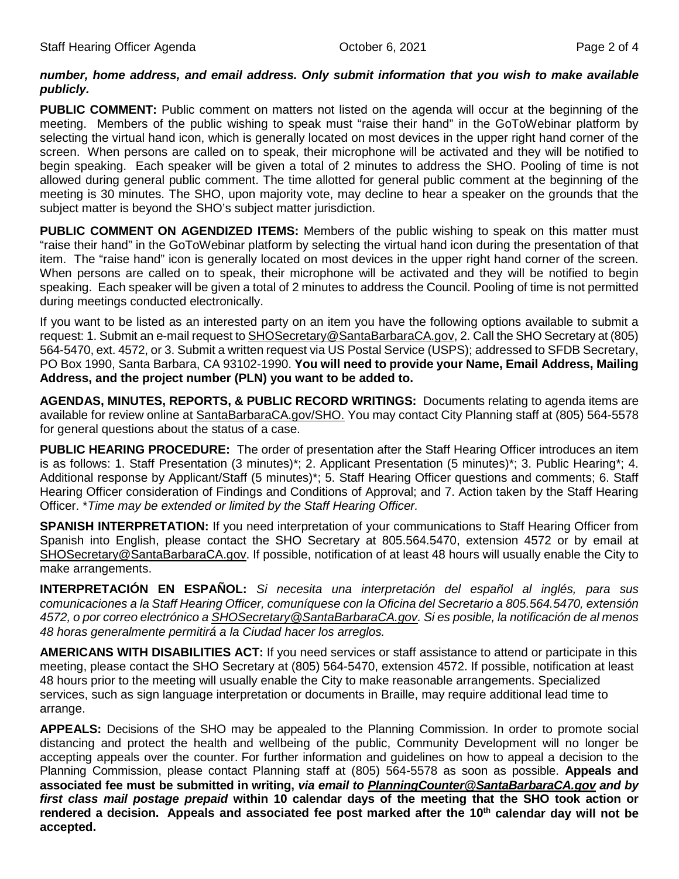#### *number, home address, and email address. Only submit information that you wish to make available publicly.*

**PUBLIC COMMENT:** Public comment on matters not listed on the agenda will occur at the beginning of the meeting. Members of the public wishing to speak must "raise their hand" in the GoToWebinar platform by selecting the virtual hand icon, which is generally located on most devices in the upper right hand corner of the screen. When persons are called on to speak, their microphone will be activated and they will be notified to begin speaking. Each speaker will be given a total of 2 minutes to address the SHO. Pooling of time is not allowed during general public comment. The time allotted for general public comment at the beginning of the meeting is 30 minutes. The SHO, upon majority vote, may decline to hear a speaker on the grounds that the subject matter is beyond the SHO's subject matter jurisdiction.

**PUBLIC COMMENT ON AGENDIZED ITEMS:** Members of the public wishing to speak on this matter must "raise their hand" in the GoToWebinar platform by selecting the virtual hand icon during the presentation of that item. The "raise hand" icon is generally located on most devices in the upper right hand corner of the screen. When persons are called on to speak, their microphone will be activated and they will be notified to begin speaking. Each speaker will be given a total of 2 minutes to address the Council. Pooling of time is not permitted during meetings conducted electronically.

If you want to be listed as an interested party on an item you have the following options available to submit a request: 1. Submit an e-mail request t[o SHOSecretary@SantaBarbaraCA.gov,](mailto:SHOSecretary@SantaBarbaraCA.gov) 2. Call the SHO Secretary at (805) 564-5470, ext. 4572, or 3. Submit a written request via US Postal Service (USPS); addressed to SFDB Secretary, PO Box 1990, Santa Barbara, CA 93102-1990. **You will need to provide your Name, Email Address, Mailing Address, and the project number (PLN) you want to be added to.**

**AGENDAS, MINUTES, REPORTS, & PUBLIC RECORD WRITINGS:** Documents relating to agenda items are available for review online at [SantaBarbaraCA.gov/SHO.](http://www.santabarbaraca.gov/SHO) You may contact City Planning staff at (805) 564-5578 for general questions about the status of a case.

**PUBLIC HEARING PROCEDURE:** The order of presentation after the Staff Hearing Officer introduces an item is as follows: 1. Staff Presentation (3 minutes)\*; 2. Applicant Presentation (5 minutes)\*; 3. Public Hearing\*; 4. Additional response by Applicant/Staff (5 minutes)\*; 5. Staff Hearing Officer questions and comments; 6. Staff Hearing Officer consideration of Findings and Conditions of Approval; and 7. Action taken by the Staff Hearing Officer. \**Time may be extended or limited by the Staff Hearing Officer.*

**SPANISH INTERPRETATION:** If you need interpretation of your communications to Staff Hearing Officer from Spanish into English, please contact the SHO Secretary at 805.564.5470, extension 4572 or by email at [SHOSecretary@SantaBarbaraCA.gov.](mailto:SHOSecretary@SantaBarbaraCA.gov) If possible, notification of at least 48 hours will usually enable the City to make arrangements.

**INTERPRETACIÓN EN ESPAÑOL:** *Si necesita una interpretación del español al inglés, para sus comunicaciones a la Staff Hearing Officer, comuníquese con la Oficina del Secretario a 805.564.5470, extensión 4572, o por correo electrónico [a SHOSecretary@SantaBarbaraCA.gov.](mailto:SHOSecretary@SantaBarbaraCA.gov) Si es posible, la notificación de al menos 48 horas generalmente permitirá a la Ciudad hacer los arreglos.*

**AMERICANS WITH DISABILITIES ACT:** If you need services or staff assistance to attend or participate in this meeting, please contact the SHO Secretary at (805) 564-5470, extension 4572. If possible, notification at least 48 hours prior to the meeting will usually enable the City to make reasonable arrangements. Specialized services, such as sign language interpretation or documents in Braille, may require additional lead time to arrange.

**APPEALS:** Decisions of the SHO may be appealed to the Planning Commission. In order to promote social distancing and protect the health and wellbeing of the public, Community Development will no longer be accepting appeals over the counter. For further information and guidelines on how to appeal a decision to the Planning Commission, please contact Planning staff at (805) 564-5578 as soon as possible. **Appeals and associated fee must be submitted in writing,** *via email to [PlanningCounter@SantaBarbaraCA.gov](mailto:PlanningCounter@SantaBarbaraCA.gov) and by first class mail postage prepaid* **within 10 calendar days of the meeting that the SHO took action or**  rendered a decision. Appeals and associated fee post marked after the 10<sup>th</sup> calendar day will not be **accepted.**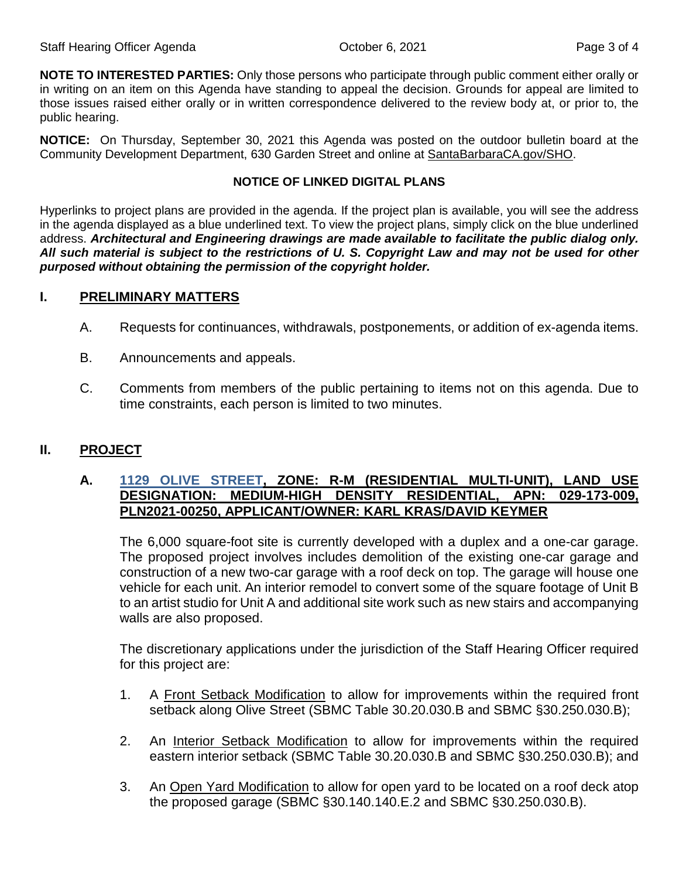**NOTE TO INTERESTED PARTIES:** Only those persons who participate through public comment either orally or in writing on an item on this Agenda have standing to appeal the decision. Grounds for appeal are limited to those issues raised either orally or in written correspondence delivered to the review body at, or prior to, the public hearing.

**NOTICE:** On Thursday, September 30, 2021 this Agenda was posted on the outdoor bulletin board at the Community Development Department, 630 Garden Street and online at [SantaBarbaraCA.gov/SHO.](http://www.santabarbaraca.gov/SHO)

#### **NOTICE OF LINKED DIGITAL PLANS**

Hyperlinks to project plans are provided in the agenda. If the project plan is available, you will see the address in the agenda displayed as a blue underlined text. To view the project plans, simply click on the blue underlined address. *Architectural and Engineering drawings are made available to facilitate the public dialog only. All such material is subject to the restrictions of U. S. Copyright Law and may not be used for other purposed without obtaining the permission of the copyright holder.*

# **I. PRELIMINARY MATTERS**

- A. Requests for continuances, withdrawals, postponements, or addition of ex-agenda items.
- B. Announcements and appeals.
- C. Comments from members of the public pertaining to items not on this agenda. Due to time constraints, each person is limited to two minutes.

# **II. PROJECT**

# **A. [1129 OLIVE STREET,](https://www.santabarbaraca.gov/civicax/filebank/blobdload.aspx?BlobID=239882) ZONE: R-M (RESIDENTIAL MULTI-UNIT), LAND USE DESIGNATION: MEDIUM-HIGH DENSITY RESIDENTIAL, APN: 029-173-009, PLN2021-00250, APPLICANT/OWNER: KARL KRAS/DAVID KEYMER**

The 6,000 square-foot site is currently developed with a duplex and a one-car garage. The proposed project involves includes demolition of the existing one-car garage and construction of a new two-car garage with a roof deck on top. The garage will house one vehicle for each unit. An interior remodel to convert some of the square footage of Unit B to an artist studio for Unit A and additional site work such as new stairs and accompanying walls are also proposed.

The discretionary applications under the jurisdiction of the Staff Hearing Officer required for this project are:

- 1. A Front Setback Modification to allow for improvements within the required front setback along Olive Street (SBMC Table 30.20.030.B and SBMC §30.250.030.B);
- 2. An Interior Setback Modification to allow for improvements within the required eastern interior setback (SBMC Table 30.20.030.B and SBMC §30.250.030.B); and
- 3. An Open Yard Modification to allow for open yard to be located on a roof deck atop the proposed garage (SBMC §30.140.140.E.2 and SBMC §30.250.030.B).